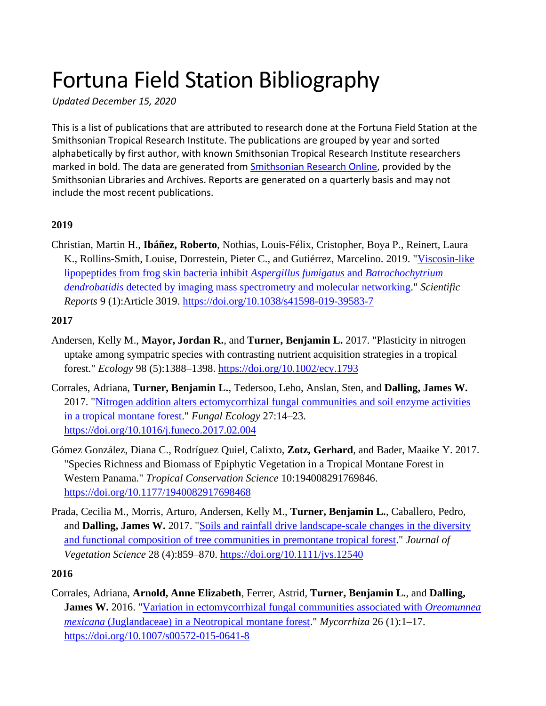# Fortuna Field Station Bibliography

*Updated December 15, 2020*

This is a list of publications that are attributed to research done at the Fortuna Field Station at the Smithsonian Tropical Research Institute. The publications are grouped by year and sorted alphabetically by first author, with known Smithsonian Tropical Research Institute researchers marked in bold. The data are generated from [Smithsonian Research Online,](https://research.si.edu/) provided by the Smithsonian Libraries and Archives. Reports are generated on a quarterly basis and may not include the most recent publications.

# **2019**

Christian, Martin H., **Ibáñez, Roberto**, Nothias, Louis-Félix, Cristopher, Boya P., Reinert, Laura K., Rollins-Smith, Louise, Dorrestein, Pieter C., and Gutiérrez, Marcelino. 2019. ["Viscosin-like](https://www.nature.com/articles/s41598-019-39583-7)  [lipopeptides from frog skin bacteria inhibit](https://www.nature.com/articles/s41598-019-39583-7) *Aspergillus fumigatus* and *Batrachochytrium dendrobatidis* [detected by imaging mass spectrometry and molecular networking.](https://www.nature.com/articles/s41598-019-39583-7)" *Scientific Reports* 9 (1):Article 3019.<https://doi.org/10.1038/s41598-019-39583-7>

#### **2017**

- Andersen, Kelly M., **Mayor, Jordan R.**, and **Turner, Benjamin L.** 2017. "Plasticity in nitrogen uptake among sympatric species with contrasting nutrient acquisition strategies in a tropical forest." *Ecology* 98 (5):1388–1398.<https://doi.org/10.1002/ecy.1793>
- Corrales, Adriana, **Turner, Benjamin L.**, Tedersoo, Leho, Anslan, Sten, and **Dalling, James W.** 2017. ["Nitrogen addition alters ectomycorrhizal fungal communities and soil enzyme activities](https://repository.si.edu/handle/10088/32343)  [in a tropical montane forest.](https://repository.si.edu/handle/10088/32343)" *Fungal Ecology* 27:14–23. <https://doi.org/10.1016/j.funeco.2017.02.004>
- Gómez González, Diana C., Rodríguez Quiel, Calixto, **Zotz, Gerhard**, and Bader, Maaike Y. 2017. "Species Richness and Biomass of Epiphytic Vegetation in a Tropical Montane Forest in Western Panama." *Tropical Conservation Science* 10:194008291769846. <https://doi.org/10.1177/1940082917698468>
- Prada, Cecilia M., Morris, Arturo, Andersen, Kelly M., **Turner, Benjamin L.**, Caballero, Pedro, and **Dalling, James W.** 2017. ["Soils and rainfall drive landscape-scale changes in the diversity](https://repository.si.edu/handle/10088/32391)  [and functional composition of tree communities in premontane tropical forest.](https://repository.si.edu/handle/10088/32391)" *Journal of Vegetation Science* 28 (4):859–870.<https://doi.org/10.1111/jvs.12540>

## **2016**

Corrales, Adriana, **Arnold, Anne Elizabeth**, Ferrer, Astrid, **Turner, Benjamin L.**, and **Dalling, James W.** 2016. ["Variation in ectomycorrhizal fungal communities associated with](https://repository.si.edu/handle/10088/26593) *Oreomunnea mexicana* [\(Juglandaceae\) in a Neotropical montane forest.](https://repository.si.edu/handle/10088/26593)" *Mycorrhiza* 26 (1):1–17. <https://doi.org/10.1007/s00572-015-0641-8>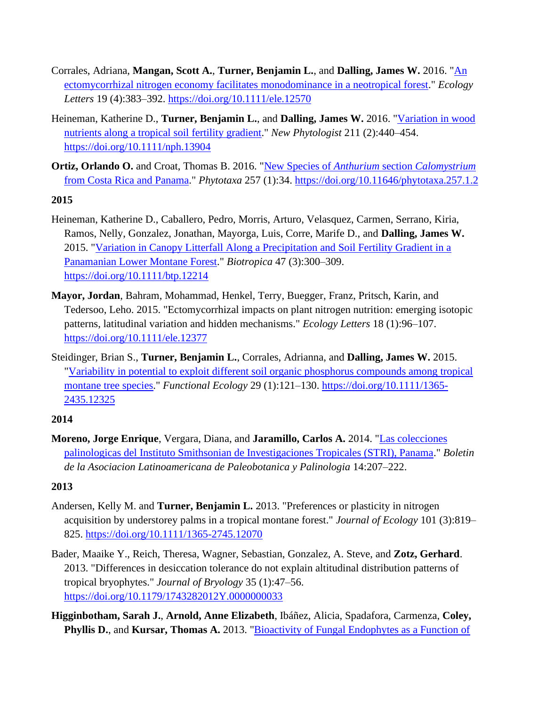- Corrales, Adriana, **Mangan, Scott A.**, **Turner, Benjamin L.**, and **Dalling, James W.** 2016. ["An](https://repository.si.edu/handle/10088/28073)  [ectomycorrhizal nitrogen economy facilitates monodominance in a neotropical forest.](https://repository.si.edu/handle/10088/28073)" *Ecology Letters* 19 (4):383–392.<https://doi.org/10.1111/ele.12570>
- Heineman, Katherine D., **Turner, Benjamin L.**, and **Dalling, James W.** 2016. ["Variation in wood](https://repository.si.edu/handle/10088/29487)  [nutrients along a tropical soil fertility gradient.](https://repository.si.edu/handle/10088/29487)" *New Phytologist* 211 (2):440–454. <https://doi.org/10.1111/nph.13904>
- **Ortiz, Orlando O.** and Croat, Thomas B. 2016. ["New Species of](https://repository.si.edu/handle/10088/28680) *Anthurium* section *Calomystrium* [from Costa Rica and Panama.](https://repository.si.edu/handle/10088/28680)" *Phytotaxa* 257 (1):34.<https://doi.org/10.11646/phytotaxa.257.1.2>

- Heineman, Katherine D., Caballero, Pedro, Morris, Arturo, Velasquez, Carmen, Serrano, Kiria, Ramos, Nelly, Gonzalez, Jonathan, Mayorga, Luis, Corre, Marife D., and **Dalling, James W.** 2015. ["Variation in Canopy Litterfall Along a Precipitation and Soil Fertility Gradient in a](https://repository.si.edu/handle/10088/25615)  [Panamanian Lower Montane Forest.](https://repository.si.edu/handle/10088/25615)" *Biotropica* 47 (3):300–309. <https://doi.org/10.1111/btp.12214>
- **Mayor, Jordan**, Bahram, Mohammad, Henkel, Terry, Buegger, Franz, Pritsch, Karin, and Tedersoo, Leho. 2015. "Ectomycorrhizal impacts on plant nitrogen nutrition: emerging isotopic patterns, latitudinal variation and hidden mechanisms." *Ecology Letters* 18 (1):96–107. <https://doi.org/10.1111/ele.12377>
- Steidinger, Brian S., **Turner, Benjamin L.**, Corrales, Adrianna, and **Dalling, James W.** 2015. ["Variability in potential to exploit different soil organic phosphorus compounds among tropical](https://repository.si.edu/handle/10088/24723)  [montane tree species.](https://repository.si.edu/handle/10088/24723)" *Functional Ecology* 29 (1):121–130. [https://doi.org/10.1111/1365-](https://doi.org/10.1111/1365-2435.12325) [2435.12325](https://doi.org/10.1111/1365-2435.12325)

## **2014**

**Moreno, Jorge Enrique**, Vergara, Diana, and **Jaramillo, Carlos A.** 2014. ["Las colecciones](https://stri-apps.si.edu/docs/publications/pdfs/Moreno_2014_colecciones_Panama_palinologia.pdf)  [palinologicas del Instituto Smithsonian de Investigaciones Tropicales \(STRI\), Panama.](https://stri-apps.si.edu/docs/publications/pdfs/Moreno_2014_colecciones_Panama_palinologia.pdf)" *Boletin de la Asociacion Latinoamericana de Paleobotanica y Palinologia* 14:207–222.

- Andersen, Kelly M. and **Turner, Benjamin L.** 2013. "Preferences or plasticity in nitrogen acquisition by understorey palms in a tropical montane forest." *Journal of Ecology* 101 (3):819– 825.<https://doi.org/10.1111/1365-2745.12070>
- Bader, Maaike Y., Reich, Theresa, Wagner, Sebastian, Gonzalez, A. Steve, and **Zotz, Gerhard**. 2013. "Differences in desiccation tolerance do not explain altitudinal distribution patterns of tropical bryophytes." *Journal of Bryology* 35 (1):47–56. <https://doi.org/10.1179/1743282012Y.0000000033>
- **Higginbotham, Sarah J.**, **Arnold, Anne Elizabeth**, Ibáñez, Alicia, Spadafora, Carmenza, **Coley, Phyllis D.**, and **Kursar, Thomas A.** 2013. ["Bioactivity of Fungal Endophytes as a Function of](https://repository.si.edu/handle/10088/21699)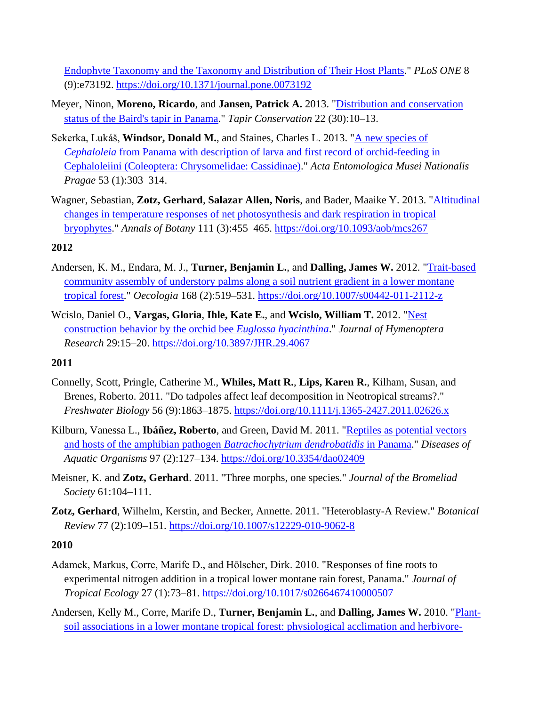[Endophyte Taxonomy and the Taxonomy and Distribution of Their Host Plants.](https://repository.si.edu/handle/10088/21699)" *PLoS ONE* 8 (9):e73192.<https://doi.org/10.1371/journal.pone.0073192>

- Meyer, Ninon, **Moreno, Ricardo**, and **Jansen, Patrick A.** 2013. ["Distribution and conservation](https://repository.si.edu/handle/10088/21573)  [status of the Baird's tapir in Panama.](https://repository.si.edu/handle/10088/21573)" *Tapir Conservation* 22 (30):10–13.
- Sekerka, Lukáš, **Windsor, Donald M.**, and Staines, Charles L. 2013. ["A new species of](https://repository.si.edu/handle/10088/21553)  *Cephaloleia* [from Panama with description of larva and first record of orchid-feeding in](https://repository.si.edu/handle/10088/21553)  [Cephaloleiini \(Coleoptera: Chrysomelidae: Cassidinae\).](https://repository.si.edu/handle/10088/21553)" *Acta Entomologica Musei Nationalis Pragae* 53 (1):303–314.
- Wagner, Sebastian, **Zotz, Gerhard**, **Salazar Allen, Noris**, and Bader, Maaike Y. 2013. ["Altitudinal](https://repository.si.edu/handle/10088/20998)  [changes in temperature responses of net photosynthesis and dark respiration in tropical](https://repository.si.edu/handle/10088/20998)  [bryophytes.](https://repository.si.edu/handle/10088/20998)" *Annals of Botany* 111 (3):455–465.<https://doi.org/10.1093/aob/mcs267>

## **2012**

- Andersen, K. M., Endara, M. J., **Turner, Benjamin L.**, and **Dalling, James W.** 2012. ["Trait-based](https://repository.si.edu/handle/10088/18163)  [community assembly of understory palms along a soil nutrient gradient in a lower montane](https://repository.si.edu/handle/10088/18163)  [tropical forest.](https://repository.si.edu/handle/10088/18163)" *Oecologia* 168 (2):519–531.<https://doi.org/10.1007/s00442-011-2112-z>
- Wcislo, Daniel O., **Vargas, Gloria**, **Ihle, Kate E.**, and **Wcislo, William T.** 2012. ["Nest](https://stri-apps.si.edu/docs/publications/pdfs/STRI-W_2013_Wcislo_Orchid_bee_best_construction_JHR_2012.pdf)  [construction behavior by the orchid bee](https://stri-apps.si.edu/docs/publications/pdfs/STRI-W_2013_Wcislo_Orchid_bee_best_construction_JHR_2012.pdf) *Euglossa hyacinthina*." *Journal of Hymenoptera Research* 29:15–20.<https://doi.org/10.3897/JHR.29.4067>

## **2011**

- Connelly, Scott, Pringle, Catherine M., **Whiles, Matt R.**, **Lips, Karen R.**, Kilham, Susan, and Brenes, Roberto. 2011. "Do tadpoles affect leaf decomposition in Neotropical streams?." *Freshwater Biology* 56 (9):1863–1875.<https://doi.org/10.1111/j.1365-2427.2011.02626.x>
- Kilburn, Vanessa L., **Ibáñez, Roberto**, and Green, David M. 2011. ["Reptiles as potential vectors](https://repository.si.edu/handle/10088/17634)  [and hosts of the amphibian pathogen](https://repository.si.edu/handle/10088/17634) *Batrachochytrium dendrobatidis* in Panama." *Diseases of Aquatic Organisms* 97 (2):127–134.<https://doi.org/10.3354/dao02409>
- Meisner, K. and **Zotz, Gerhard**. 2011. "Three morphs, one species." *Journal of the Bromeliad Society* 61:104–111.
- **Zotz, Gerhard**, Wilhelm, Kerstin, and Becker, Annette. 2011. "Heteroblasty-A Review." *Botanical Review* 77 (2):109–151.<https://doi.org/10.1007/s12229-010-9062-8>

- Adamek, Markus, Corre, Marife D., and Hōlscher, Dirk. 2010. "Responses of fine roots to experimental nitrogen addition in a tropical lower montane rain forest, Panama." *Journal of Tropical Ecology* 27 (1):73–81.<https://doi.org/10.1017/s0266467410000507>
- Andersen, Kelly M., Corre, Marife D., **Turner, Benjamin L.**, and **Dalling, James W.** 2010. ["Plant](https://repository.si.edu/handle/10088/11903)[soil associations in a lower montane tropical forest: physiological acclimation and herbivore-](https://repository.si.edu/handle/10088/11903)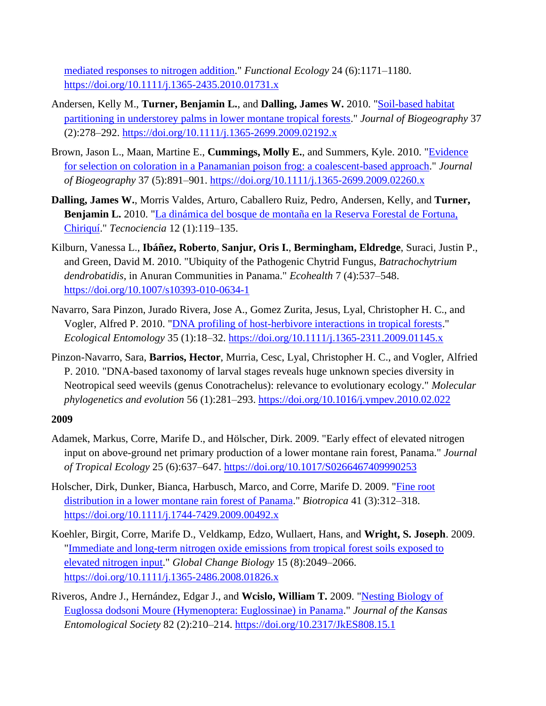[mediated responses to nitrogen addition.](https://repository.si.edu/handle/10088/11903)" *Functional Ecology* 24 (6):1171–1180. <https://doi.org/10.1111/j.1365-2435.2010.01731.x>

- Andersen, Kelly M., **Turner, Benjamin L.**, and **Dalling, James W.** 2010. ["Soil-based habitat](https://repository.si.edu/handle/10088/8869)  [partitioning in understorey palms in lower montane tropical forests.](https://repository.si.edu/handle/10088/8869)" *Journal of Biogeography* 37 (2):278–292.<https://doi.org/10.1111/j.1365-2699.2009.02192.x>
- Brown, Jason L., Maan, Martine E., **Cummings, Molly E.**, and Summers, Kyle. 2010. ["Evidence](https://repository.si.edu/handle/10088/9844)  [for selection on coloration in a Panamanian poison frog: a coalescent-based approach.](https://repository.si.edu/handle/10088/9844)" *Journal of Biogeography* 37 (5):891–901.<https://doi.org/10.1111/j.1365-2699.2009.02260.x>
- **Dalling, James W.**, Morris Valdes, Arturo, Caballero Ruiz, Pedro, Andersen, Kelly, and **Turner, Benjamin L.** 2010. ["La dinámica del bosque de montaña en la Reserva Forestal de Fortuna,](https://repository.si.edu/handle/10088/24710)  [Chiriquí.](https://repository.si.edu/handle/10088/24710)" *Tecnociencia* 12 (1):119–135.
- Kilburn, Vanessa L., **Ibáñez, Roberto**, **Sanjur, Oris I.**, **Bermingham, Eldredge**, Suraci, Justin P., and Green, David M. 2010. "Ubiquity of the Pathogenic Chytrid Fungus, *Batrachochytrium dendrobatidis*, in Anuran Communities in Panama." *Ecohealth* 7 (4):537–548. <https://doi.org/10.1007/s10393-010-0634-1>
- Navarro, Sara Pinzon, Jurado Rivera, Jose A., Gomez Zurita, Jesus, Lyal, Christopher H. C., and Vogler, Alfred P. 2010. ["DNA profiling of host-herbivore interactions in tropical forests.](https://repository.si.edu/handle/10088/8898)" *Ecological Entomology* 35 (1):18–32.<https://doi.org/10.1111/j.1365-2311.2009.01145.x>
- Pinzon-Navarro, Sara, **Barrios, Hector**, Murria, Cesc, Lyal, Christopher H. C., and Vogler, Alfried P. 2010. "DNA-based taxonomy of larval stages reveals huge unknown species diversity in Neotropical seed weevils (genus Conotrachelus): relevance to evolutionary ecology." *Molecular phylogenetics and evolution* 56 (1):281–293.<https://doi.org/10.1016/j.ympev.2010.02.022>

- Adamek, Markus, Corre, Marife D., and Hölscher, Dirk. 2009. "Early effect of elevated nitrogen input on above-ground net primary production of a lower montane rain forest, Panama." *Journal of Tropical Ecology* 25 (6):637–647.<https://doi.org/10.1017/S0266467409990253>
- Holscher, Dirk, Dunker, Bianca, Harbusch, Marco, and Corre, Marife D. 2009. ["Fine root](https://repository.si.edu/handle/10088/15903)  [distribution in a lower montane rain forest of Panama.](https://repository.si.edu/handle/10088/15903)" *Biotropica* 41 (3):312–318. <https://doi.org/10.1111/j.1744-7429.2009.00492.x>
- Koehler, Birgit, Corre, Marife D., Veldkamp, Edzo, Wullaert, Hans, and **Wright, S. Joseph**. 2009. ["Immediate and long-term nitrogen oxide emissions from tropical forest soils exposed to](https://stri-apps.si.edu/docs/publications/pdfs/STRI-W_Wright_2009_GCB.pdf)  [elevated nitrogen input.](https://stri-apps.si.edu/docs/publications/pdfs/STRI-W_Wright_2009_GCB.pdf)" *Global Change Biology* 15 (8):2049–2066. <https://doi.org/10.1111/j.1365-2486.2008.01826.x>
- Riveros, Andre J., Hernández, Edgar J., and **Wcislo, William T.** 2009. ["Nesting Biology of](https://repository.si.edu/handle/10088/12142)  [Euglossa dodsoni Moure \(Hymenoptera: Euglossinae\) in Panama.](https://repository.si.edu/handle/10088/12142)" *Journal of the Kansas Entomological Society* 82 (2):210–214.<https://doi.org/10.2317/JkES808.15.1>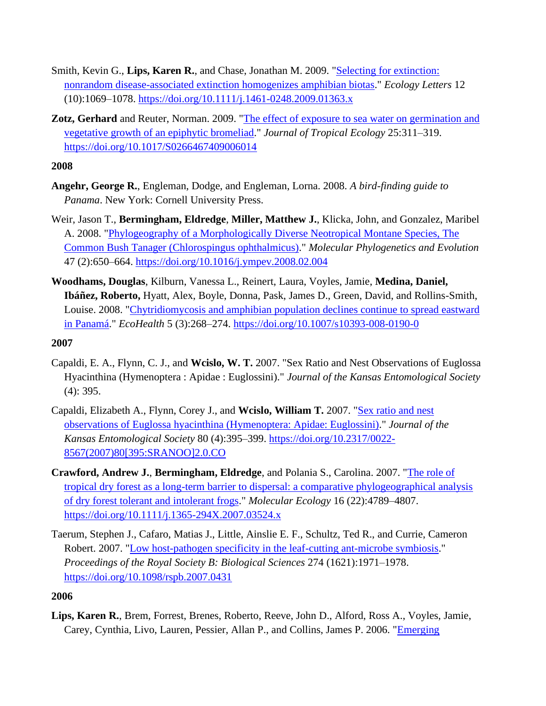- Smith, Kevin G., **Lips, Karen R.**, and Chase, Jonathan M. 2009. ["Selecting for extinction:](https://repository.si.edu/handle/10088/18789)  [nonrandom disease-associated extinction homogenizes amphibian biotas.](https://repository.si.edu/handle/10088/18789)" *Ecology Letters* 12 (10):1069–1078.<https://doi.org/10.1111/j.1461-0248.2009.01363.x>
- **Zotz, Gerhard** and Reuter, Norman. 2009. ["The effect of exposure to sea water on germination and](https://repository.si.edu/handle/10088/12924)  [vegetative growth of an epiphytic bromeliad.](https://repository.si.edu/handle/10088/12924)" *Journal of Tropical Ecology* 25:311–319. <https://doi.org/10.1017/S0266467409006014>

- **Angehr, George R.**, Engleman, Dodge, and Engleman, Lorna. 2008. *A bird-finding guide to Panama*. New York: Cornell University Press.
- Weir, Jason T., **Bermingham, Eldredge**, **Miller, Matthew J.**, Klicka, John, and Gonzalez, Maribel A. 2008. ["Phylogeography of a Morphologically Diverse Neotropical Montane Species, The](https://repository.si.edu/handle/10088/7814) [Common Bush Tanager \(Chlorospingus ophthalmicus\).](https://repository.si.edu/handle/10088/7814)" *Molecular Phylogenetics and Evolution* 47 (2):650–664.<https://doi.org/10.1016/j.ympev.2008.02.004>
- **Woodhams, Douglas**, Kilburn, Vanessa L., Reinert, Laura, Voyles, Jamie, **Medina, Daniel, Ibáñez, Roberto,** Hyatt, Alex, Boyle, Donna, Pask, James D., Green, David, and Rollins-Smith, Louise. 2008. ["Chytridiomycosis and amphibian population declines continue to spread eastward](https://repository.si.edu/handle/10088/15967)  [in Panamá.](https://repository.si.edu/handle/10088/15967)" *EcoHealth* 5 (3):268–274.<https://doi.org/10.1007/s10393-008-0190-0>

#### **2007**

- Capaldi, E. A., Flynn, C. J., and **Wcislo, W. T.** 2007. "Sex Ratio and Nest Observations of Euglossa Hyacinthina (Hymenoptera : Apidae : Euglossini)." *Journal of the Kansas Entomological Society* (4): 395.
- Capaldi, Elizabeth A., Flynn, Corey J., and **Wcislo, William T.** 2007. ["Sex ratio and nest](https://repository.si.edu/handle/10088/11805)  [observations of Euglossa hyacinthina \(Hymenoptera: Apidae: Euglossini\).](https://repository.si.edu/handle/10088/11805)" *Journal of the Kansas Entomological Society* 80 (4):395–399. [https://doi.org/10.2317/0022-](https://doi.org/10.2317/0022-8567(2007)80%5b395:SRANOO%5d2.0.CO) [8567\(2007\)80\[395:SRANOO\]2.0.CO](https://doi.org/10.2317/0022-8567(2007)80%5b395:SRANOO%5d2.0.CO)
- **Crawford, Andrew J.**, **Bermingham, Eldredge**, and Polania S., Carolina. 2007. ["The role of](https://repository.si.edu/handle/10088/6663)  [tropical dry forest as a long-term barrier to dispersal: a comparative phylogeographical analysis](https://repository.si.edu/handle/10088/6663)  [of dry forest tolerant and intolerant frogs.](https://repository.si.edu/handle/10088/6663)" *Molecular Ecology* 16 (22):4789–4807. <https://doi.org/10.1111/j.1365-294X.2007.03524.x>
- Taerum, Stephen J., Cafaro, Matias J., Little, Ainslie E. F., Schultz, Ted R., and Currie, Cameron Robert. 2007. ["Low host-pathogen specificity in the leaf-cutting ant-microbe symbiosis.](https://repository.si.edu/handle/10088/12197)" *Proceedings of the Royal Society B: Biological Sciences* 274 (1621):1971–1978. <https://doi.org/10.1098/rspb.2007.0431>

## **2006**

**Lips, Karen R.**, Brem, Forrest, Brenes, Roberto, Reeve, John D., Alford, Ross A., Voyles, Jamie, Carey, Cynthia, Livo, Lauren, Pessier, Allan P., and Collins, James P. 2006. ["Emerging](https://repository.si.edu/handle/10088/4125)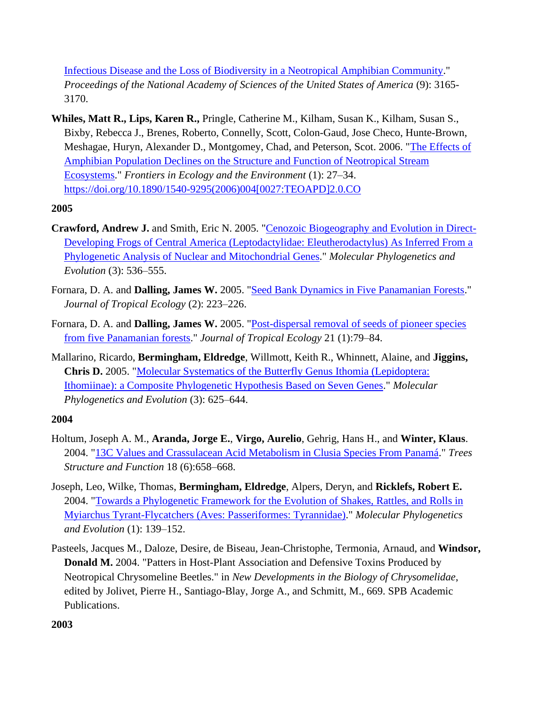[Infectious Disease and the Loss of Biodiversity in a Neotropical Amphibian Community.](https://repository.si.edu/handle/10088/4125)" *Proceedings of the National Academy of Sciences of the United States of America* (9): 3165- 3170.

**Whiles, Matt R., Lips, Karen R.,** Pringle, Catherine M., Kilham, Susan K., Kilham, Susan S., Bixby, Rebecca J., Brenes, Roberto, Connelly, Scott, Colon-Gaud, Jose Checo, Hunte-Brown, Meshagae, Huryn, Alexander D., Montgomey, Chad, and Peterson, Scot. 2006. ["The Effects of](https://repository.si.edu/handle/10088/4180)  [Amphibian Population Declines on the Structure and Function of Neotropical Stream](https://repository.si.edu/handle/10088/4180)  [Ecosystems.](https://repository.si.edu/handle/10088/4180)" *Frontiers in Ecology and the Environment* (1): 27–34. [https://doi.org/10.1890/1540-9295\(2006\)004\[0027:TEOAPD\]2.0.CO](https://doi.org/10.1890/1540-9295(2006)004%5b0027:TEOAPD%5d2.0.CO)

## **2005**

- **Crawford, Andrew J.** and Smith, Eric N. 2005. ["Cenozoic Biogeography and Evolution in Direct-](https://repository.si.edu/handle/10088/3838)[Developing Frogs of Central America \(Leptodactylidae: Eleutherodactylus\) As Inferred From a](https://repository.si.edu/handle/10088/3838)  [Phylogenetic Analysis of Nuclear and Mitochondrial Genes.](https://repository.si.edu/handle/10088/3838)" *Molecular Phylogenetics and Evolution* (3): 536–555.
- Fornara, D. A. and **Dalling, James W.** 2005. ["Seed Bank Dynamics in Five Panamanian Forests.](https://repository.si.edu/handle/10088/3868)" *Journal of Tropical Ecology* (2): 223–226.
- Fornara, D. A. and **Dalling, James W.** 2005. ["Post-dispersal removal of seeds of pioneer species](https://repository.si.edu/handle/10088/3867)  [from five Panamanian forests.](https://repository.si.edu/handle/10088/3867)" *Journal of Tropical Ecology* 21 (1):79–84.
- Mallarino, Ricardo, **Bermingham, Eldredge**, Willmott, Keith R., Whinnett, Alaine, and **Jiggins, Chris D.** 2005. ["Molecular Systematics of the Butterfly Genus Ithomia \(Lepidoptera:](https://repository.si.edu/handle/10088/3919)  [Ithomiinae\): a Composite Phylogenetic Hypothesis Based on Seven Genes.](https://repository.si.edu/handle/10088/3919)" *Molecular Phylogenetics and Evolution* (3): 625–644.

## **2004**

- Holtum, Joseph A. M., **Aranda, Jorge E.**, **Virgo, Aurelio**, Gehrig, Hans H., and **Winter, Klaus**. 2004. ["13C Values and Crassulacean Acid Metabolism in Clusia Species From Panamá.](https://repository.si.edu/handle/10088/6756)" *Trees Structure and Function* 18 (6):658–668.
- Joseph, Leo, Wilke, Thomas, **Bermingham, Eldredge**, Alpers, Deryn, and **Ricklefs, Robert E.** 2004. ["Towards a Phylogenetic Framework for the Evolution of Shakes, Rattles, and Rolls in](https://repository.si.edu/handle/10088/6875)  [Myiarchus Tyrant-Flycatchers \(Aves: Passeriformes: Tyrannidae\).](https://repository.si.edu/handle/10088/6875)" *Molecular Phylogenetics and Evolution* (1): 139–152.
- Pasteels, Jacques M., Daloze, Desire, de Biseau, Jean-Christophe, Termonia, Arnaud, and **Windsor, Donald M.** 2004. "Patters in Host-Plant Association and Defensive Toxins Produced by Neotropical Chrysomeline Beetles." in *New Developments in the Biology of Chrysomelidae*, edited by Jolivet, Pierre H., Santiago-Blay, Jorge A., and Schmitt, M., 669. SPB Academic Publications.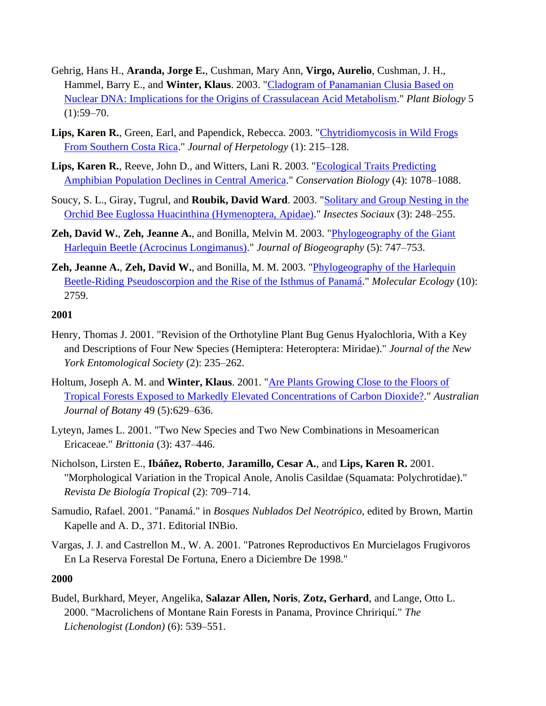- Gehrig, Hans H., **Aranda, Jorge E.**, Cushman, Mary Ann, **Virgo, Aurelio**, Cushman, J. H., Hammel, Barry E., and **Winter, Klaus**. 2003. ["Cladogram of Panamanian Clusia Based on](https://repository.si.edu/handle/10088/2220)  [Nuclear DNA: Implications for the Origins of Crassulacean Acid Metabolism.](https://repository.si.edu/handle/10088/2220)" *Plant Biology* 5  $(1):59-70.$
- **Lips, Karen R.**, Green, Earl, and Papendick, Rebecca. 2003. ["Chytridiomycosis in Wild Frogs](https://repository.si.edu/handle/10088/2145)  [From Southern Costa Rica.](https://repository.si.edu/handle/10088/2145)" *Journal of Herpetology* (1): 215–128.
- **Lips, Karen R.**, Reeve, John D., and Witters, Lani R. 2003. ["Ecological Traits Predicting](https://repository.si.edu/handle/10088/2146)  [Amphibian Population Declines in Central America.](https://repository.si.edu/handle/10088/2146)" *Conservation Biology* (4): 1078–1088.
- Soucy, S. L., Giray, Tugrul, and **Roubik, David Ward**. 2003. ["Solitary and Group Nesting in the](https://repository.si.edu/handle/10088/2169)  [Orchid Bee Euglossa Huacinthina \(Hymenoptera, Apidae\).](https://repository.si.edu/handle/10088/2169)" *Insectes Sociaux* (3): 248–255.
- **Zeh, David W.**, **Zeh, Jeanne A.**, and Bonilla, Melvin M. 2003. ["Phylogeography of the Giant](https://repository.si.edu/handle/10088/2261)  [Harlequin Beetle \(Acrocinus Longimanus\).](https://repository.si.edu/handle/10088/2261)" *Journal of Biogeography* (5): 747–753.
- **Zeh, Jeanne A.**, **Zeh, David W.**, and Bonilla, M. M. 2003. ["Phylogeography of the Harlequin](https://repository.si.edu/handle/10088/2254)  [Beetle-Riding Pseudoscorpion and the Rise of the Isthmus of Panamá.](https://repository.si.edu/handle/10088/2254)" *Molecular Ecology* (10): 2759.

- Henry, Thomas J. 2001. "Revision of the Orthotyline Plant Bug Genus Hyalochloria, With a Key and Descriptions of Four New Species (Hemiptera: Heteroptera: Miridae)." *Journal of the New York Entomological Society* (2): 235–262.
- Holtum, Joseph A. M. and **Winter, Klaus**. 2001. ["Are Plants Growing Close to the Floors of](https://repository.si.edu/handle/10088/45110)  [Tropical Forests Exposed to Markedly Elevated Concentrations of Carbon Dioxide?.](https://repository.si.edu/handle/10088/45110)" *Australian Journal of Botany* 49 (5):629–636.
- Lyteyn, James L. 2001. "Two New Species and Two New Combinations in Mesoamerican Ericaceae." *Brittonia* (3): 437–446.
- Nicholson, Lirsten E., **Ibáñez, Roberto**, **Jaramillo, Cesar A.**, and **Lips, Karen R.** 2001. "Morphological Variation in the Tropical Anole, Anolis Casildae (Squamata: Polychrotidae)." *Revista De Biología Tropical* (2): 709–714.
- Samudio, Rafael. 2001. "Panamá." in *Bosques Nublados Del Neotrópico*, edited by Brown, Martin Kapelle and A. D., 371. Editorial INBio.
- Vargas, J. J. and Castrellon M., W. A. 2001. "Patrones Reproductivos En Murcielagos Frugivoros En La Reserva Forestal De Fortuna, Enero a Diciembre De 1998."

#### **2000**

Budel, Burkhard, Meyer, Angelika, **Salazar Allen, Noris**, **Zotz, Gerhard**, and Lange, Otto L. 2000. "Macrolichens of Montane Rain Forests in Panama, Province Chririquí." *The Lichenologist (London)* (6): 539–551.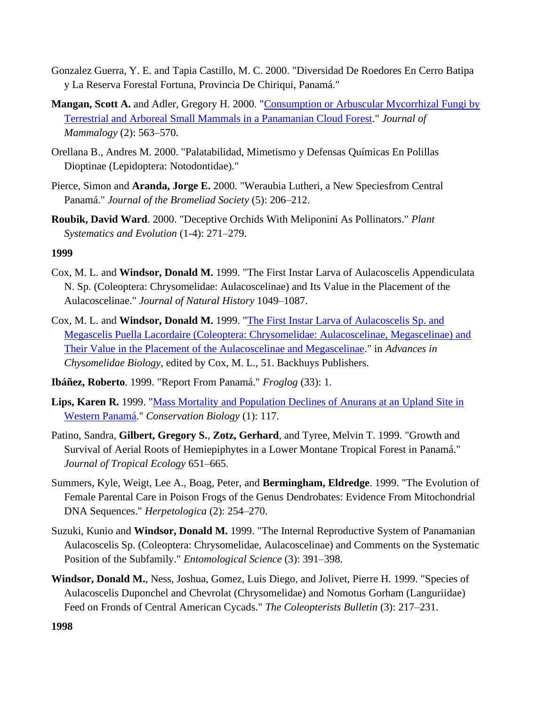- Gonzalez Guerra, Y. E. and Tapia Castillo, M. C. 2000. "Diversidad De Roedores En Cerro Batipa y La Reserva Forestal Fortuna, Provincia De Chiriqui, Panamá."
- **Mangan, Scott A.** and Adler, Gregory H. 2000. ["Consumption or Arbuscular Mycorrhizal Fungi by](https://repository.si.edu/handle/10088/1288)  [Terrestrial and Arboreal Small Mammals in a Panamanian Cloud Forest.](https://repository.si.edu/handle/10088/1288)" *Journal of Mammalogy* (2): 563–570.
- Orellana B., Andres M. 2000. "Palatabilidad, Mimetismo y Defensas Químicas En Polillas Dioptinae (Lepidoptera: Notodontidae)."
- Pierce, Simon and **Aranda, Jorge E.** 2000. "Weraubia Lutheri, a New Speciesfrom Central Panamá." *Journal of the Bromeliad Society* (5): 206–212.
- **Roubik, David Ward**. 2000. "Deceptive Orchids With Meliponini As Pollinators." *Plant Systematics and Evolution* (1-4): 271–279.

- Cox, M. L. and **Windsor, Donald M.** 1999. "The First Instar Larva of Aulacoscelis Appendiculata N. Sp. (Coleoptera: Chrysomelidae: Aulacoscelinae) and Its Value in the Placement of the Aulacoscelinae." *Journal of Natural History* 1049–1087.
- Cox, M. L. and **Windsor, Donald M.** 1999. ["The First Instar Larva of Aulacoscelis Sp. and](https://repository.si.edu/handle/10088/6880)  [Megascelis Puella Lacordaire \(Coleoptera: Chrysomelidae: Aulacoscelinae, Megascelinae\) and](https://repository.si.edu/handle/10088/6880)  [Their Value in the Placement of the Aulacoscelinae and Megascelinae.](https://repository.si.edu/handle/10088/6880)" in *Advances in Chysomelidae Biology*, edited by Cox, M. L., 51. Backhuys Publishers.
- **Ibáñez, Roberto**. 1999. "Report From Panamá." *Froglog* (33): 1.
- **Lips, Karen R.** 1999. ["Mass Mortality and Population Declines of Anurans at an Upland Site in](https://repository.si.edu/handle/10088/1052)  [Western Panamá.](https://repository.si.edu/handle/10088/1052)" *Conservation Biology* (1): 117.
- Patino, Sandra, **Gilbert, Gregory S.**, **Zotz, Gerhard**, and Tyree, Melvin T. 1999. "Growth and Survival of Aerial Roots of Hemiepiphytes in a Lower Montane Tropical Forest in Panamá." *Journal of Tropical Ecology* 651–665.
- Summers, Kyle, Weigt, Lee A., Boag, Peter, and **Bermingham, Eldredge**. 1999. "The Evolution of Female Parental Care in Poison Frogs of the Genus Dendrobates: Evidence From Mitochondrial DNA Sequences." *Herpetologica* (2): 254–270.
- Suzuki, Kunio and **Windsor, Donald M.** 1999. "The Internal Reproductive System of Panamanian Aulacoscelis Sp. (Coleoptera: Chrysomelidae, Aulacoscelinae) and Comments on the Systematic Position of the Subfamily." *Entomological Science* (3): 391–398.
- **Windsor, Donald M.**, Ness, Joshua, Gomez, Luis Diego, and Jolivet, Pierre H. 1999. "Species of Aulacoscelis Duponchel and Chevrolat (Chrysomelidae) and Nomotus Gorham (Languriidae) Feed on Fronds of Central American Cycads." *The Coleopterists Bulletin* (3): 217–231.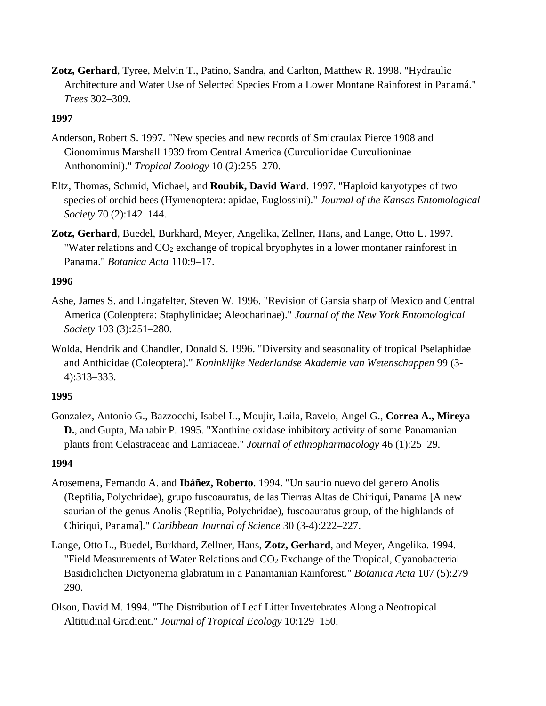**Zotz, Gerhard**, Tyree, Melvin T., Patino, Sandra, and Carlton, Matthew R. 1998. "Hydraulic Architecture and Water Use of Selected Species From a Lower Montane Rainforest in Panamá." *Trees* 302–309.

## **1997**

- Anderson, Robert S. 1997. "New species and new records of Smicraulax Pierce 1908 and Cionomimus Marshall 1939 from Central America (Curculionidae Curculioninae Anthonomini)." *Tropical Zoology* 10 (2):255–270.
- Eltz, Thomas, Schmid, Michael, and **Roubik, David Ward**. 1997. "Haploid karyotypes of two species of orchid bees (Hymenoptera: apidae, Euglossini)." *Journal of the Kansas Entomological Society* 70 (2):142–144.
- **Zotz, Gerhard**, Buedel, Burkhard, Meyer, Angelika, Zellner, Hans, and Lange, Otto L. 1997. "Water relations and CO<sub>2</sub> exchange of tropical bryophytes in a lower montaner rainforest in Panama." *Botanica Acta* 110:9–17.

## **1996**

- Ashe, James S. and Lingafelter, Steven W. 1996. "Revision of Gansia sharp of Mexico and Central America (Coleoptera: Staphylinidae; Aleocharinae)." *Journal of the New York Entomological Society* 103 (3):251–280.
- Wolda, Hendrik and Chandler, Donald S. 1996. "Diversity and seasonality of tropical Pselaphidae and Anthicidae (Coleoptera)." *Koninklijke Nederlandse Akademie van Wetenschappen* 99 (3- 4):313–333.

## **1995**

Gonzalez, Antonio G., Bazzocchi, Isabel L., Moujir, Laila, Ravelo, Angel G., **Correa A., Mireya D.**, and Gupta, Mahabir P. 1995. "Xanthine oxidase inhibitory activity of some Panamanian plants from Celastraceae and Lamiaceae." *Journal of ethnopharmacology* 46 (1):25–29.

- Arosemena, Fernando A. and **Ibáñez, Roberto**. 1994. "Un saurio nuevo del genero Anolis (Reptilia, Polychridae), grupo fuscoauratus, de las Tierras Altas de Chiriqui, Panama [A new saurian of the genus Anolis (Reptilia, Polychridae), fuscoauratus group, of the highlands of Chiriqui, Panama]." *Caribbean Journal of Science* 30 (3-4):222–227.
- Lange, Otto L., Buedel, Burkhard, Zellner, Hans, **Zotz, Gerhard**, and Meyer, Angelika. 1994. "Field Measurements of Water Relations and  $CO<sub>2</sub>$  Exchange of the Tropical, Cyanobacterial Basidiolichen Dictyonema glabratum in a Panamanian Rainforest." *Botanica Acta* 107 (5):279– 290.
- Olson, David M. 1994. "The Distribution of Leaf Litter Invertebrates Along a Neotropical Altitudinal Gradient." *Journal of Tropical Ecology* 10:129–150.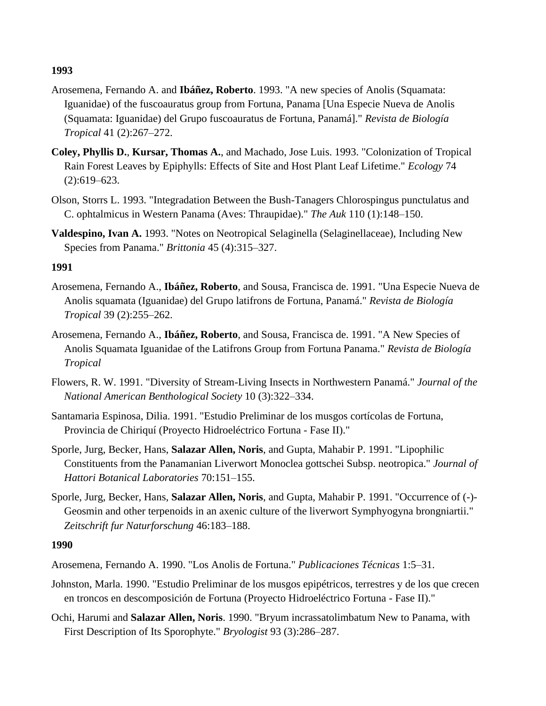- Arosemena, Fernando A. and **Ibáñez, Roberto**. 1993. "A new species of Anolis (Squamata: Iguanidae) of the fuscoauratus group from Fortuna, Panama [Una Especie Nueva de Anolis (Squamata: Iguanidae) del Grupo fuscoauratus de Fortuna, Panamá]." *Revista de Biología Tropical* 41 (2):267–272.
- **Coley, Phyllis D.**, **Kursar, Thomas A.**, and Machado, Jose Luis. 1993. "Colonization of Tropical Rain Forest Leaves by Epiphylls: Effects of Site and Host Plant Leaf Lifetime." *Ecology* 74 (2):619–623.
- Olson, Storrs L. 1993. "Integradation Between the Bush-Tanagers Chlorospingus punctulatus and C. ophtalmicus in Western Panama (Aves: Thraupidae)." *The Auk* 110 (1):148–150.
- **Valdespino, Ivan A.** 1993. "Notes on Neotropical Selaginella (Selaginellaceae), Including New Species from Panama." *Brittonia* 45 (4):315–327.

#### **1991**

- Arosemena, Fernando A., **Ibáñez, Roberto**, and Sousa, Francisca de. 1991. "Una Especie Nueva de Anolis squamata (Iguanidae) del Grupo latifrons de Fortuna, Panamá." *Revista de Biología Tropical* 39 (2):255–262.
- Arosemena, Fernando A., **Ibáñez, Roberto**, and Sousa, Francisca de. 1991. "A New Species of Anolis Squamata Iguanidae of the Latifrons Group from Fortuna Panama." *Revista de Biología Tropical*
- Flowers, R. W. 1991. "Diversity of Stream-Living Insects in Northwestern Panamá." *Journal of the National American Benthological Society* 10 (3):322–334.
- Santamaria Espinosa, Dilia. 1991. "Estudio Preliminar de los musgos cortícolas de Fortuna, Provincia de Chiriquí (Proyecto Hidroeléctrico Fortuna - Fase II)."
- Sporle, Jurg, Becker, Hans, **Salazar Allen, Noris**, and Gupta, Mahabir P. 1991. "Lipophilic Constituents from the Panamanian Liverwort Monoclea gottschei Subsp. neotropica." *Journal of Hattori Botanical Laboratories* 70:151–155.
- Sporle, Jurg, Becker, Hans, **Salazar Allen, Noris**, and Gupta, Mahabir P. 1991. "Occurrence of (-)- Geosmin and other terpenoids in an axenic culture of the liverwort Symphyogyna brongniartii." *Zeitschrift fur Naturforschung* 46:183–188.

- Arosemena, Fernando A. 1990. "Los Anolis de Fortuna." *Publicaciones Técnicas* 1:5–31.
- Johnston, Marla. 1990. "Estudio Preliminar de los musgos epipétricos, terrestres y de los que crecen en troncos en descomposición de Fortuna (Proyecto Hidroeléctrico Fortuna - Fase II)."
- Ochi, Harumi and **Salazar Allen, Noris**. 1990. "Bryum incrassatolimbatum New to Panama, with First Description of Its Sporophyte." *Bryologist* 93 (3):286–287.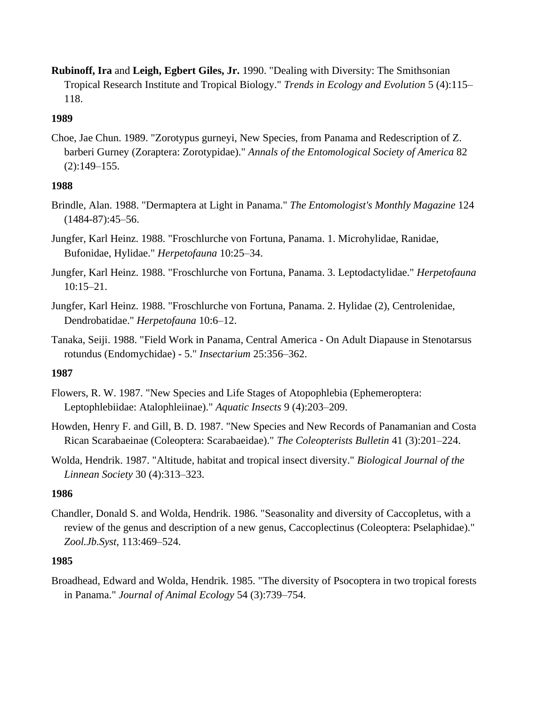**Rubinoff, Ira** and **Leigh, Egbert Giles, Jr.** 1990. "Dealing with Diversity: The Smithsonian Tropical Research Institute and Tropical Biology." *Trends in Ecology and Evolution* 5 (4):115– 118.

## **1989**

Choe, Jae Chun. 1989. "Zorotypus gurneyi, New Species, from Panama and Redescription of Z. barberi Gurney (Zoraptera: Zorotypidae)." *Annals of the Entomological Society of America* 82 (2):149–155.

# **1988**

- Brindle, Alan. 1988. "Dermaptera at Light in Panama." *The Entomologist's Monthly Magazine* 124 (1484-87):45–56.
- Jungfer, Karl Heinz. 1988. "Froschlurche von Fortuna, Panama. 1. Microhylidae, Ranidae, Bufonidae, Hylidae." *Herpetofauna* 10:25–34.
- Jungfer, Karl Heinz. 1988. "Froschlurche von Fortuna, Panama. 3. Leptodactylidae." *Herpetofauna* 10:15–21.
- Jungfer, Karl Heinz. 1988. "Froschlurche von Fortuna, Panama. 2. Hylidae (2), Centrolenidae, Dendrobatidae." *Herpetofauna* 10:6–12.
- Tanaka, Seiji. 1988. "Field Work in Panama, Central America On Adult Diapause in Stenotarsus rotundus (Endomychidae) - 5." *Insectarium* 25:356–362.

# **1987**

- Flowers, R. W. 1987. "New Species and Life Stages of Atopophlebia (Ephemeroptera: Leptophlebiidae: Atalophleiinae)." *Aquatic Insects* 9 (4):203–209.
- Howden, Henry F. and Gill, B. D. 1987. "New Species and New Records of Panamanian and Costa Rican Scarabaeinae (Coleoptera: Scarabaeidae)." *The Coleopterists Bulletin* 41 (3):201–224.
- Wolda, Hendrik. 1987. "Altitude, habitat and tropical insect diversity." *Biological Journal of the Linnean Society* 30 (4):313–323.

# **1986**

Chandler, Donald S. and Wolda, Hendrik. 1986. "Seasonality and diversity of Caccopletus, with a review of the genus and description of a new genus, Caccoplectinus (Coleoptera: Pselaphidae)." *Zool.Jb.Syst,* 113:469–524.

# **1985**

Broadhead, Edward and Wolda, Hendrik. 1985. "The diversity of Psocoptera in two tropical forests in Panama." *Journal of Animal Ecology* 54 (3):739–754.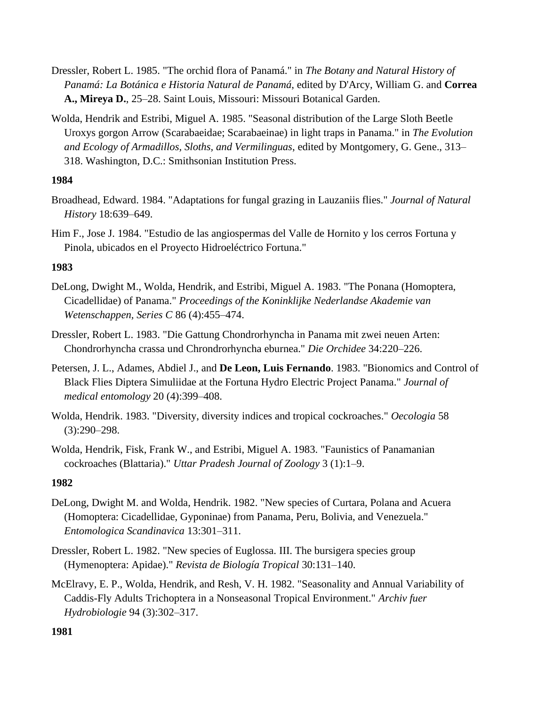- Dressler, Robert L. 1985. "The orchid flora of Panamá." in *The Botany and Natural History of Panamá: La Botánica e Historia Natural de Panamá*, edited by D'Arcy, William G. and **Correa A., Mireya D.**, 25–28. Saint Louis, Missouri: Missouri Botanical Garden.
- Wolda, Hendrik and Estribi, Miguel A. 1985. "Seasonal distribution of the Large Sloth Beetle Uroxys gorgon Arrow (Scarabaeidae; Scarabaeinae) in light traps in Panama." in *The Evolution and Ecology of Armadillos, Sloths, and Vermilinguas*, edited by Montgomery, G. Gene., 313– 318. Washington, D.C.: Smithsonian Institution Press.

- Broadhead, Edward. 1984. "Adaptations for fungal grazing in Lauzaniis flies." *Journal of Natural History* 18:639–649.
- Him F., Jose J. 1984. "Estudio de las angiospermas del Valle de Hornito y los cerros Fortuna y Pinola, ubicados en el Proyecto Hidroeléctrico Fortuna."

## **1983**

- DeLong, Dwight M., Wolda, Hendrik, and Estribi, Miguel A. 1983. "The Ponana (Homoptera, Cicadellidae) of Panama." *Proceedings of the Koninklijke Nederlandse Akademie van Wetenschappen, Series C* 86 (4):455–474.
- Dressler, Robert L. 1983. "Die Gattung Chondrorhyncha in Panama mit zwei neuen Arten: Chondrorhyncha crassa und Chrondrorhyncha eburnea." *Die Orchidee* 34:220–226.
- Petersen, J. L., Adames, Abdiel J., and **De Leon, Luis Fernando**. 1983. "Bionomics and Control of Black Flies Diptera Simuliidae at the Fortuna Hydro Electric Project Panama." *Journal of medical entomology* 20 (4):399–408.
- Wolda, Hendrik. 1983. "Diversity, diversity indices and tropical cockroaches." *Oecologia* 58 (3):290–298.
- Wolda, Hendrik, Fisk, Frank W., and Estribi, Miguel A. 1983. "Faunistics of Panamanian cockroaches (Blattaria)." *Uttar Pradesh Journal of Zoology* 3 (1):1–9.

## **1982**

- DeLong, Dwight M. and Wolda, Hendrik. 1982. "New species of Curtara, Polana and Acuera (Homoptera: Cicadellidae, Gyponinae) from Panama, Peru, Bolivia, and Venezuela." *Entomologica Scandinavica* 13:301–311.
- Dressler, Robert L. 1982. "New species of Euglossa. III. The bursigera species group (Hymenoptera: Apidae)." *Revista de Biología Tropical* 30:131–140.
- McElravy, E. P., Wolda, Hendrik, and Resh, V. H. 1982. "Seasonality and Annual Variability of Caddis-Fly Adults Trichoptera in a Nonseasonal Tropical Environment." *Archiv fuer Hydrobiologie* 94 (3):302–317.